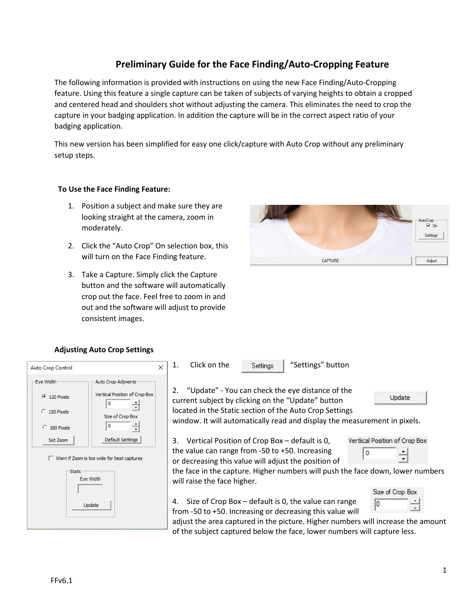# **Preliminary Guide for the Face Finding/Auto-Cropping Feature**

The following information is provided with instructions on using the new Face Finding/Auto-Cropping feature. Using this feature a single capture can be taken of subjects of varying heights to obtain a cropped and centered head and shoulders shot without adjusting the camera. This eliminates the need to crop the capture in your badging application. In addition the capture will be in the correct aspect ratio of your badging application.

This new version has been simplified for easy one click/capture with Auto Crop without any preliminary setup steps.

### **To Use the Face Finding Feature:**

- 1. Position a subject and make sure they are looking straight at the camera, zoom in moderately.
- 2. Click the "Auto Crop" On selection box, this will turn on the Face Finding feature.
- 3. Take a Capture. Simply click the Capture button and the software will automatically crop out the face. Feel free to zoom in and out and the software will adjust to provide consistent images.



### **Adjusting Auto Crop Settings**

| $\times$<br><b>Auto Crop Control</b>                                                                                                                                             | Click on the<br>"Settings" button<br>1.<br>Settings                                                                                                                                                                                                                                                                                                  |
|----------------------------------------------------------------------------------------------------------------------------------------------------------------------------------|------------------------------------------------------------------------------------------------------------------------------------------------------------------------------------------------------------------------------------------------------------------------------------------------------------------------------------------------------|
| Eye Width<br>Auto Crop Adjments<br>Vertiical Position of Crop Box<br>$\binom{2}{120}$ Pixels<br>C 150 Pixels<br>Size of Crop Box<br>C 180 Pixels<br>Default Settings<br>Set Zoom | 2. "Update" - You can check the eye distance of the<br>Update<br>current subject by clicking on the "Update" button<br>located in the Static section of the Auto Crop Settings<br>window. It will automatically read and display the measurement in pixels.<br>Vertiical Position of Crop Box<br>Vertical Position of Crop Box - default is 0,<br>3. |
| Warn if Zoom is too wide for best captures<br>Static<br>Eye Width                                                                                                                | the value can range from -50 to +50. Increasing<br>0<br>or decreasing this value will adjust the position of<br>the face in the capture. Higher numbers will push the face down, lower numbers<br>will raise the face higher.                                                                                                                        |
| Update                                                                                                                                                                           | Size of Crop Box<br>Size of Crop Box - default is 0, the value can range<br>4.<br>from -50 to +50. Increasing or decreasing this value will<br>adjust the area captured in the picture. Higher numbers will increase the amount<br>of the subject captured below the face, lower numbers will capture less.                                          |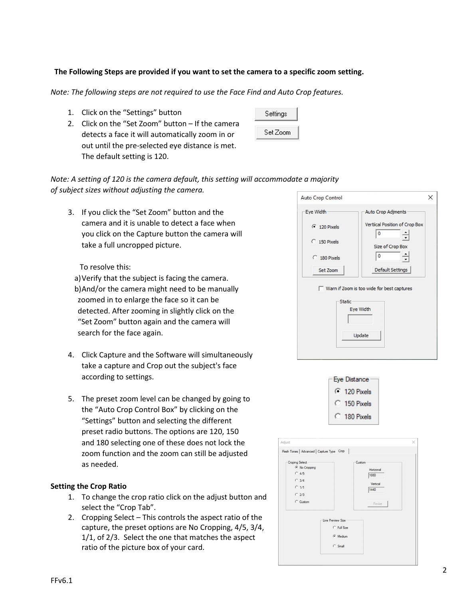### **The Following Steps are provided if you want to set the camera to a specific zoom setting.**

*Note: The following steps are not required to use the Face Find and Auto Crop features.* 

- 1. Click on the "Settings" button
- 2. Click on the "Set Zoom" button If the camera detects a face it will automatically zoom in or out until the pre-selected eye distance is met. The default setting is 120.

| Settings |  |
|----------|--|
| Set Zoom |  |

### *Note: A setting of 120 is the camera default, this setting will accommodate a majority of subject sizes without adjusting the camera.*

3. If you click the "Set Zoom" button and the camera and it is unable to detect a face when you click on the Capture button the camera will take a full uncropped picture.

### To resolve this:

a)Verify that the subject is facing the camera. b)And/or the camera might need to be manually zoomed in to enlarge the face so it can be detected. After zooming in slightly click on the "Set Zoom" button again and the camera will search for the face again.

- 4. Click Capture and the Software will simultaneously take a capture and Crop out the subject's face according to settings.
- 5. The preset zoom level can be changed by going to the "Auto Crop Control Box" by clicking on the "Settings" button and selecting the different preset radio buttons. The options are 120, 150 and 180 selecting one of these does not lock the zoom function and the zoom can still be adjusted as needed.

#### **Setting the Crop Ratio**

- 1. To change the crop ratio click on the adjust button and select the "Crop Tab".
- 2. Cropping Select This controls the aspect ratio of the capture, the preset options are No Cropping, 4/5, 3/4, 1/1, of 2/3. Select the one that matches the aspect ratio of the picture box of your card.





| Flesh Tones   Advanced   Capture Type Crop                                                                       |                                                           |
|------------------------------------------------------------------------------------------------------------------|-----------------------------------------------------------|
| <b>Croping Select</b><br><b>6</b> No Cropping<br>$C$ 4/5<br>$C$ 3/4<br>$C$ $1/1$<br>C <sub>2/3</sub><br>C Custom | Custom<br>Horizonal<br>1080<br>Vertical<br>1440<br>Resize |
| <b>Live Preview Size</b><br>C Full Size<br><b>6</b> Medium<br>$\subset$ Small                                    |                                                           |